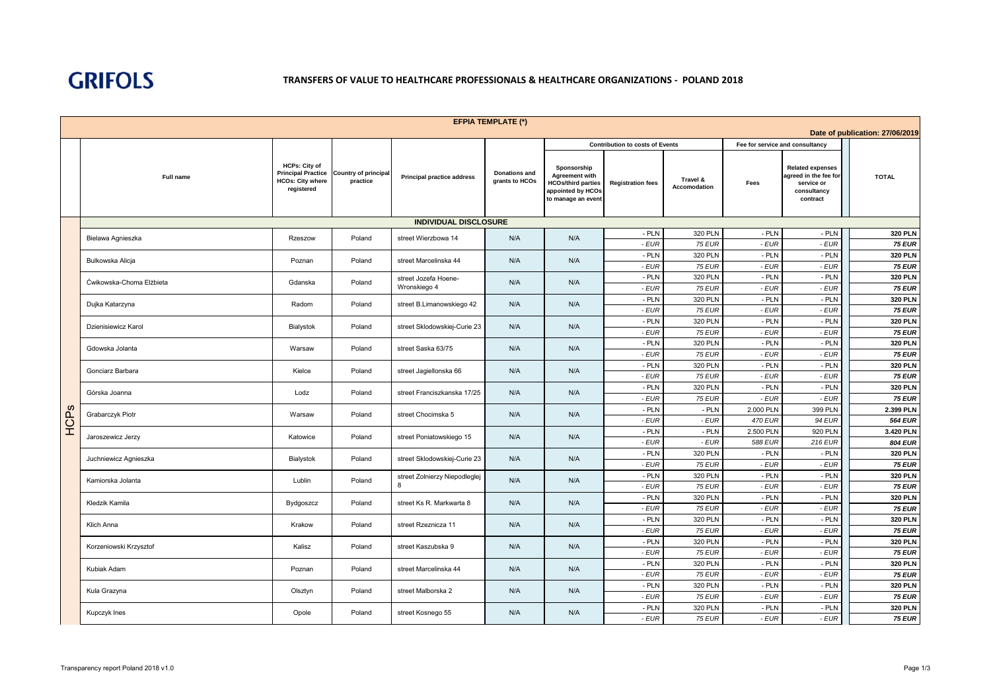

| <b>EFPIA TEMPLATE (*)</b><br>Date of publication: 27/06/2019 |                            |                                                                                            |                                         |                                                      |                                                          |                                                                                                              |                                        |                                 |                                 |                                                                                           |                                 |
|--------------------------------------------------------------|----------------------------|--------------------------------------------------------------------------------------------|-----------------------------------------|------------------------------------------------------|----------------------------------------------------------|--------------------------------------------------------------------------------------------------------------|----------------------------------------|---------------------------------|---------------------------------|-------------------------------------------------------------------------------------------|---------------------------------|
|                                                              |                            |                                                                                            |                                         |                                                      |                                                          |                                                                                                              | <b>Contribution to costs of Events</b> |                                 | Fee for service and consultancy |                                                                                           |                                 |
|                                                              | <b>Full name</b>           | <b>HCPs: City of</b><br><b>Principal Practice</b><br><b>HCOs: City where</b><br>registered | <b>Country of principal</b><br>practice | <b>Principal practice address</b>                    | <b>Donations and</b><br>grants to HCOs                   | Sponsorship<br><b>Agreement with</b><br><b>HCOs/third parties</b><br>appointed by HCOs<br>to manage an event | <b>Registration fees</b>               | Travel &<br><b>Accomodation</b> | Fees                            | <b>Related expenses</b><br>agreed in the fee for<br>service or<br>consultancy<br>contract | <b>TOTAL</b>                    |
|                                                              |                            |                                                                                            |                                         | <b>INDIVIDUAL DISCLOSURE</b>                         |                                                          |                                                                                                              |                                        |                                 |                                 |                                                                                           |                                 |
|                                                              | Bielawa Agnieszka          | Rzeszow                                                                                    | Poland                                  | street Wierzbowa 14                                  | N/A                                                      | N/A                                                                                                          | - PLN                                  | 320 PLN                         | $-$ PLN                         | - PLN                                                                                     | <b>320 PLN</b>                  |
|                                                              |                            |                                                                                            |                                         |                                                      |                                                          |                                                                                                              | $-EUR$                                 | <b>75 EUR</b>                   | $-EUR$                          | $-EUR$                                                                                    | <b>75 EUR</b>                   |
|                                                              | Bulkowska Alicja           | Poznan                                                                                     | Poland                                  | street Marcelinska 44                                | N/A                                                      | N/A                                                                                                          | - PLN                                  | 320 PLN                         | $-$ PLN                         | $-$ PLN                                                                                   | <b>320 PLN</b>                  |
|                                                              |                            |                                                                                            |                                         |                                                      |                                                          |                                                                                                              | $-EUR$                                 | <b>75 EUR</b>                   | $-EUR$                          | $-EUR$                                                                                    | <b>75 EUR</b>                   |
|                                                              | Ćwikowska-Choma Elżbieta   | Gdanska                                                                                    | Poland                                  | street Jozefa Hoene-<br>Wronskiego 4                 | N/A                                                      | N/A                                                                                                          | - PLN                                  | 320 PLN                         | $-$ PLN                         | - PLN                                                                                     | <b>320 PLN</b>                  |
|                                                              |                            |                                                                                            |                                         |                                                      |                                                          |                                                                                                              | - EUR                                  | <b>75 EUR</b>                   | $-EUR$                          | $-EUR$                                                                                    | <b>75 EUR</b>                   |
|                                                              | Dujka Katarzyna            | Radom                                                                                      | Poland                                  | street B.Limanowskiego 42                            | N/A                                                      | N/A                                                                                                          | - PLN<br>$-EUR$                        | 320 PLN<br><b>75 EUR</b>        | - PLN<br>$-EUR$                 | $-$ PLN<br>$-EUR$                                                                         | <b>320 PLN</b><br><b>75 EUR</b> |
|                                                              |                            |                                                                                            |                                         |                                                      |                                                          |                                                                                                              | - PLN                                  | <b>320 PLN</b>                  | $-$ PLN                         | - PLN                                                                                     | <b>320 PLN</b>                  |
|                                                              | Dzienisiewicz Karol        | Bialystok                                                                                  | Poland                                  | street Sklodowskiej-Curie 23                         | N/A                                                      | N/A                                                                                                          | - EUR                                  | <b>75 EUR</b>                   | - EUR                           | - EUR                                                                                     | <b>75 EUR</b>                   |
|                                                              |                            |                                                                                            |                                         |                                                      |                                                          |                                                                                                              | - PLN<br><b>320 PLN</b>                | $-$ PLN                         | $-$ PLN                         | <b>320 PLN</b>                                                                            |                                 |
|                                                              | Gdowska Jolanta            | Poland<br>street Saska 63/75<br>N/A<br>N/A<br>Warsaw                                       |                                         | $-EUR$                                               | <b>75 EUR</b>                                            | $-EUR$                                                                                                       | $-EUR$                                 | <b>75 EUR</b>                   |                                 |                                                                                           |                                 |
|                                                              | Gonciarz Barbara           |                                                                                            |                                         |                                                      | - PLN<br>320 PLN<br>N/A<br>N/A<br>- EUR<br><b>75 EUR</b> | $-$ PLN                                                                                                      | $-$ PLN                                | <b>320 PLN</b>                  |                                 |                                                                                           |                                 |
|                                                              |                            | Kielce                                                                                     | Poland                                  | street Jagiellonska 66                               |                                                          |                                                                                                              |                                        |                                 | $-EUR$                          | $-EUR$                                                                                    | <b>75 EUR</b>                   |
|                                                              | Górska Joanna<br>Lodz      |                                                                                            | Poland                                  | street Franciszkanska 17/25                          | N/A                                                      | N/A                                                                                                          | - PLN                                  | 320 PLN                         | $-$ PLN                         | $-$ PLN                                                                                   | <b>320 PLN</b>                  |
|                                                              |                            |                                                                                            |                                         |                                                      |                                                          |                                                                                                              | $-EUR$                                 | <b>75 EUR</b>                   | $-EUR$                          | $-EUR$                                                                                    | <b>75 EUR</b>                   |
| HCPS                                                         | Grabarczyk Piotr<br>Warsaw |                                                                                            | Poland                                  | street Chocimska 5                                   | N/A                                                      | N/A                                                                                                          | - PLN                                  | $-$ PLN                         | 2.000 PLN                       | 399 PLN                                                                                   | 2.399 PLN                       |
|                                                              |                            |                                                                                            |                                         | $-EUR$<br>$-EUR$                                     | <b>470 EUR</b>                                           | <b>94 EUR</b>                                                                                                | <b>564 EUR</b>                         |                                 |                                 |                                                                                           |                                 |
|                                                              | Jaroszewicz Jerzy          | Katowice                                                                                   | Poland                                  | street Poniatowskiego 15                             | N/A                                                      | N/A                                                                                                          | - PLN                                  | $-$ PLN<br>2.500 PLN            | 920 PLN                         | 3.420 PLN                                                                                 |                                 |
|                                                              |                            |                                                                                            |                                         |                                                      |                                                          |                                                                                                              | $-EUR$                                 | $-EUR$                          | <b>588 EUR</b>                  | 216 EUR                                                                                   | <b>804 EUR</b>                  |
|                                                              | Juchniewicz Agnieszka      | Bialystok                                                                                  | Poland                                  | street Sklodowskiej-Curie 23                         | N/A                                                      | N/A                                                                                                          | - PLN                                  | 320 PLN                         | - PLN                           | $-$ PLN                                                                                   | <b>320 PLN</b>                  |
|                                                              |                            |                                                                                            |                                         |                                                      |                                                          |                                                                                                              | $-EUR$                                 | <b>75 EUR</b>                   | $-EUR$                          | $-EUR$                                                                                    | <b>75 EUR</b>                   |
|                                                              | Kamiorska Jolanta          | Lublin                                                                                     | Poland                                  | street Zolnierzy Niepodleglej<br>8                   | N/A                                                      | N/A                                                                                                          | - PLN<br>$-EUR$                        | 320 PLN<br><b>75 EUR</b>        | $-$ PLN<br>$-EUR$               | - PLN<br>$-EUR$                                                                           | <b>320 PLN</b><br><b>75 EUR</b> |
|                                                              |                            |                                                                                            |                                         |                                                      |                                                          |                                                                                                              | - PLN                                  | 320 PLN                         | $-$ PLN                         | $-$ PLN                                                                                   | <b>320 PLN</b>                  |
|                                                              | Kledzik Kamila             | Bydgoszcz                                                                                  | Poland                                  | street Ks R. Markwarta 8                             | N/A                                                      | N/A                                                                                                          | $-EUR$                                 | <b>75 EUR</b>                   | $-EUR$                          | $-EUR$                                                                                    | <b>75 EUR</b>                   |
|                                                              |                            |                                                                                            |                                         |                                                      |                                                          |                                                                                                              | - PLN                                  | 320 PLN                         | $-$ PLN                         | - PLN                                                                                     | <b>320 PLN</b>                  |
|                                                              | Klich Anna                 | Krakow                                                                                     | Poland                                  | street Rzeznicza 11                                  | N/A                                                      | N/A                                                                                                          | - EUR                                  | <b>75 EUR</b>                   | - EUR                           | - EUR                                                                                     | <b>75 EUR</b>                   |
|                                                              |                            |                                                                                            |                                         |                                                      |                                                          |                                                                                                              | - PLN                                  | 320 PLN                         | $-$ PLN                         | $-$ PLN                                                                                   | <b>320 PLN</b>                  |
|                                                              | Korzeniowski Krzysztof     | Kalisz                                                                                     | Poland                                  | street Kaszubska 9                                   | N/A                                                      | N/A                                                                                                          | - EUR                                  | <b>75 EUR</b>                   | $-EUR$                          | - EUR                                                                                     | <b>75 EUR</b>                   |
|                                                              | Kubiak Adam                |                                                                                            | Poland                                  |                                                      | N/A                                                      | N/A                                                                                                          | - PLN                                  | 320 PLN                         | $-$ PLN                         | - PLN                                                                                     | <b>320 PLN</b>                  |
|                                                              |                            | Poznan                                                                                     |                                         | street Marcelinska 44                                |                                                          |                                                                                                              | - EUR                                  | <b>75 EUR</b>                   | - EUR                           | $-EUR$                                                                                    | <b>75 EUR</b>                   |
|                                                              | Kula Grazyna               | Olsztyn                                                                                    | Poland                                  | - PLN<br>320 PLN<br>N/A<br>N/A<br>street Malborska 2 | $-$ PLN                                                  | $-$ PLN                                                                                                      | <b>320 PLN</b>                         |                                 |                                 |                                                                                           |                                 |
|                                                              |                            |                                                                                            |                                         |                                                      |                                                          |                                                                                                              | $-EUR$                                 | <b>75 EUR</b>                   | $-EUR$                          | $-EUR$                                                                                    | <b>75 EUR</b>                   |
|                                                              | Kupczyk Ines               | Opole                                                                                      | Poland                                  | street Kosnego 55                                    | N/A<br>N/A                                               | - PLN                                                                                                        | 320 PLN                                | $-$ PLN                         | $-$ PLN                         | <b>320 PLN</b>                                                                            |                                 |
|                                                              |                            |                                                                                            |                                         |                                                      |                                                          |                                                                                                              | - EUR                                  | <b>75 EUR</b>                   | - EUR                           | - EUR                                                                                     | <b>75 EUR</b>                   |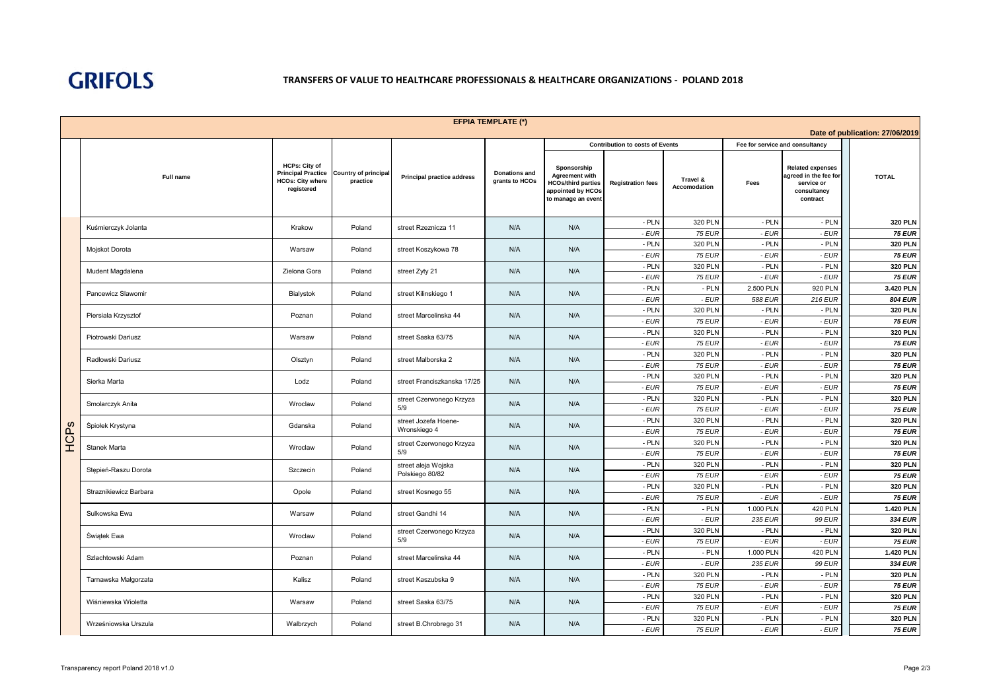

|                                 | <b>EFPIA TEMPLATE (*)</b> |                                                                                            |                                         |                                                 |                                        |                                                                                                              |                                        |                          |                                 |                                                                                           |                                 |
|---------------------------------|---------------------------|--------------------------------------------------------------------------------------------|-----------------------------------------|-------------------------------------------------|----------------------------------------|--------------------------------------------------------------------------------------------------------------|----------------------------------------|--------------------------|---------------------------------|-------------------------------------------------------------------------------------------|---------------------------------|
| Date of publication: 27/06/2019 |                           |                                                                                            |                                         |                                                 |                                        |                                                                                                              |                                        |                          |                                 |                                                                                           |                                 |
|                                 |                           |                                                                                            |                                         |                                                 |                                        |                                                                                                              | <b>Contribution to costs of Events</b> |                          | Fee for service and consultancy |                                                                                           |                                 |
|                                 | Full name                 | <b>HCPs: City of</b><br><b>Principal Practice</b><br><b>HCOs: City where</b><br>registered | <b>Country of principal</b><br>practice | <b>Principal practice address</b>               | <b>Donations and</b><br>grants to HCOs | Sponsorship<br><b>Agreement with</b><br><b>HCOs/third parties</b><br>appointed by HCOs<br>to manage an event | <b>Registration fees</b>               | Travel &<br>Accomodation | Fees                            | <b>Related expenses</b><br>agreed in the fee for<br>service or<br>consultancy<br>contract | <b>TOTAL</b>                    |
|                                 | Kuśmierczyk Jolanta       | Krakow                                                                                     | Poland                                  | street Rzeznicza 11                             | N/A                                    | N/A                                                                                                          | - PLN                                  | 320 PLN                  | - PLN                           | - PLN                                                                                     | <b>320 PLN</b>                  |
|                                 |                           |                                                                                            |                                         |                                                 |                                        |                                                                                                              | $-EUR$                                 | <b>75 EUR</b>            | - EUR                           | $-EUR$                                                                                    | <b>75 EUR</b>                   |
|                                 | Mojskot Dorota            | Warsaw                                                                                     | Poland                                  | street Koszykowa 78                             | N/A                                    | - PLN<br>N/A<br>- EUR                                                                                        | 320 PLN<br><b>75 EUR</b>               | - PLN<br>- EUR           | $-$ PLN<br>$-EUR$               | <b>320 PLN</b>                                                                            |                                 |
|                                 |                           |                                                                                            |                                         |                                                 |                                        | - PLN                                                                                                        | 320 PLN                                | - PLN                    | - PLN                           | <b>75 EUR</b><br><b>320 PLN</b>                                                           |                                 |
|                                 | Mudent Magdalena          | Zielona Gora                                                                               | Poland                                  | street Zyty 21                                  | N/A                                    | N/A                                                                                                          | - EUR                                  | <b>75 EUR</b>            | - EUR                           | $-EUR$                                                                                    | <b>75 EUR</b>                   |
|                                 |                           |                                                                                            |                                         |                                                 |                                        |                                                                                                              | - PLN                                  | $-$ PLN                  | 2.500 PLN                       | 920 PLN                                                                                   | 3.420 PLN                       |
|                                 | Pancewicz Slawomir        | Bialystok                                                                                  | Poland                                  | street Kilinskiego 1                            | N/A                                    | N/A                                                                                                          | - EUR                                  | - EUR                    | 588 EUR                         | 216 EUR                                                                                   | 804 EUR                         |
|                                 |                           |                                                                                            |                                         |                                                 |                                        |                                                                                                              | - PLN                                  | 320 PLN                  | - PLN                           | $-$ PLN                                                                                   | <b>320 PLN</b>                  |
|                                 | Piersiala Krzysztof       | Poznan                                                                                     | Poland                                  | street Marcelinska 44                           | N/A                                    | N/A                                                                                                          | $-EUR$                                 | <b>75 EUR</b>            | - EUR                           | $-EUR$                                                                                    | <b>75 EUR</b>                   |
|                                 |                           |                                                                                            |                                         |                                                 |                                        | N/A<br>N/A                                                                                                   | - PLN                                  | 320 PLN                  | - PLN                           | - PLN                                                                                     | <b>320 PLN</b>                  |
|                                 | Piotrowski Dariusz        | Warsaw                                                                                     | Poland                                  | street Saska 63/75                              |                                        |                                                                                                              | $-EUR$                                 | <b>75 EUR</b>            | - EUR                           | $-EUR$                                                                                    | <b>75 EUR</b>                   |
|                                 | Radłowski Dariusz         | Olsztyn                                                                                    | Poland                                  | street Malborska 2                              | N/A<br>N/A                             |                                                                                                              | - PLN                                  | 320 PLN                  | - PLN                           | - PLN                                                                                     | <b>320 PLN</b>                  |
|                                 |                           |                                                                                            |                                         |                                                 |                                        |                                                                                                              | - EUR                                  | <b>75 EUR</b>            | - EUR                           | $-EUR$                                                                                    | <b>75 EUR</b>                   |
|                                 | Sierka Marta              | Lodz<br>Poland                                                                             | street Franciszkanska 17/25             | N/A                                             | N/A                                    | - PLN                                                                                                        | 320 PLN                                | - PLN                    | $-$ PLN                         | <b>320 PLN</b>                                                                            |                                 |
|                                 |                           |                                                                                            |                                         |                                                 |                                        |                                                                                                              | - EUR                                  | <b>75 EUR</b>            | - EUR                           | $-EUR$                                                                                    | <b>75 EUR</b>                   |
|                                 | Smolarczyk Anita          | Wroclaw                                                                                    | Poland                                  | street Czerwonego Krzyza                        | N/A                                    | N/A                                                                                                          | - PLN                                  | 320 PLN                  | - PLN                           | $-$ PLN                                                                                   | <b>320 PLN</b>                  |
|                                 |                           |                                                                                            |                                         | 5/9                                             |                                        |                                                                                                              | - EUR                                  | <b>75 EUR</b>            | - EUR                           | $-EUR$                                                                                    | <b>75 EUR</b>                   |
|                                 | Śpiołek Krystyna          | Gdanska                                                                                    | Poland                                  | street Jozefa Hoene-                            | N/A                                    | N/A                                                                                                          | - PLN                                  | 320 PLN                  | - PLN                           | - PLN                                                                                     | <b>320 PLN</b>                  |
| HCPs                            |                           |                                                                                            |                                         | Wronskiego 4<br>street Czerwonego Krzyza<br>5/9 | N/A                                    | N/A                                                                                                          | - EUR                                  | <b>75 EUR</b>            | - EUR                           | $-EUR$                                                                                    | <b>75 EUR</b>                   |
|                                 | Stanek Marta              | Wroclaw                                                                                    | Poland                                  |                                                 |                                        |                                                                                                              | - PLN<br>$-EUR$                        | 320 PLN<br><b>75 EUR</b> | - PLN<br>- EUR                  | $-$ PLN<br>$-EUR$                                                                         | <b>320 PLN</b><br><b>75 EUR</b> |
|                                 |                           |                                                                                            |                                         |                                                 |                                        |                                                                                                              | $-$ PLN                                | 320 PLN                  | - PLN                           | - PLN                                                                                     | <b>320 PLN</b>                  |
|                                 | Stępień-Raszu Dorota      | Szczecin                                                                                   | Poland                                  | street aleja Wojska<br>Polskiego 80/82          | N/A                                    | N/A                                                                                                          | - EUR                                  | <b>75 EUR</b>            | - EUR                           | $-EUR$                                                                                    | <b>75 EUR</b>                   |
|                                 |                           |                                                                                            |                                         |                                                 |                                        |                                                                                                              | - PLN                                  | <b>320 PLN</b>           | - PLN                           | - PLN                                                                                     | <b>320 PLN</b>                  |
|                                 | Straznikiewicz Barbara    | Opole                                                                                      | Poland                                  | street Kosnego 55                               | N/A                                    | N/A                                                                                                          | - EUR                                  | <b>75 EUR</b>            | - EUR                           | $-EUR$                                                                                    | <b>75 EUR</b>                   |
|                                 |                           |                                                                                            |                                         |                                                 |                                        |                                                                                                              | - PLN                                  | - PLN                    | 1.000 PLN                       | <b>420 PLN</b>                                                                            | 1.420 PLN                       |
|                                 | Sulkowska Ewa             | Warsaw                                                                                     | Poland                                  | street Gandhi 14                                | N/A                                    | N/A                                                                                                          | - EUR                                  | $-EUR$                   | 235 EUR                         | <b>99 EUR</b>                                                                             | 334 EUR                         |
|                                 |                           |                                                                                            |                                         | street Czerwonego Krzyza                        | N/A                                    | N/A                                                                                                          | - PLN                                  | 320 PLN                  | - PLN                           | $-$ PLN                                                                                   | <b>320 PLN</b>                  |
|                                 | Świątek Ewa               | Wroclaw                                                                                    | Poland                                  | 5/9                                             |                                        |                                                                                                              | - EUR                                  | <b>75 EUR</b>            | - EUR                           | $-EUR$                                                                                    | <b>75 EUR</b>                   |
|                                 | Szlachtowski Adam         | Poznan                                                                                     | Poland                                  | street Marcelinska 44                           | N/A                                    | N/A                                                                                                          | $-$ PLN                                | $-$ PLN                  | 1.000 PLN                       | <b>420 PLN</b>                                                                            | 1.420 PLN                       |
|                                 |                           |                                                                                            |                                         |                                                 | $-EUR$                                 |                                                                                                              | - EUR                                  | <b>235 EUR</b>           | <b>99 EUR</b>                   | 334 EUR                                                                                   |                                 |
|                                 | Tarnawska Małgorzata      | Kalisz                                                                                     | Poland                                  | street Kaszubska 9                              | N/A                                    | N/A                                                                                                          | - PLN                                  | 320 PLN                  | - PLN                           | - PLN                                                                                     | <b>320 PLN</b>                  |
|                                 |                           |                                                                                            |                                         |                                                 |                                        | $-EUR$                                                                                                       | <b>75 EUR</b>                          | - EUR                    | $-EUR$                          | <b>75 EUR</b>                                                                             |                                 |
|                                 | Wiśniewska Wioletta       | Warsaw                                                                                     | Poland                                  | street Saska 63/75                              | N/A                                    | N/A                                                                                                          | $-$ PLN                                | 320 PLN                  | - PLN                           | $-$ PLN                                                                                   | <b>320 PLN</b>                  |
|                                 |                           |                                                                                            |                                         |                                                 |                                        |                                                                                                              | - EUR                                  | <b>75 EUR</b>            | - EUR                           | - EUR                                                                                     | <b>75 EUR</b>                   |
|                                 | Wrześniowska Urszula      | Walbrzych                                                                                  | Poland                                  | street B.Chrobrego 31                           | N/A                                    | N/A                                                                                                          | - PLN                                  | <b>320 PLN</b>           | - PLN                           | - PLN                                                                                     | 320 PLN                         |
|                                 |                           |                                                                                            |                                         |                                                 |                                        |                                                                                                              | - EUR                                  | <b>75 EUR</b>            | - EUR                           | $-EUR$                                                                                    | <b>75 EUR</b>                   |